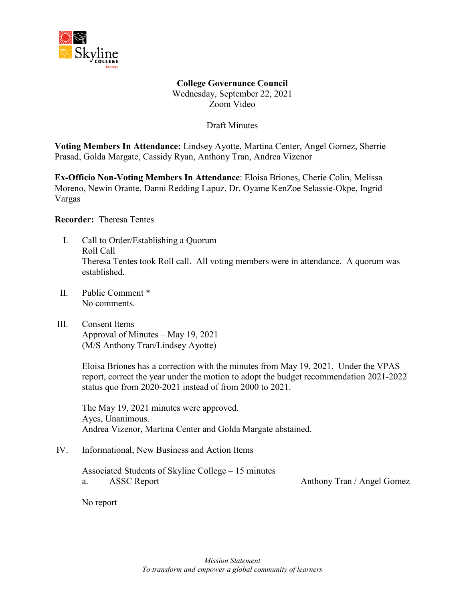

**College Governance Council** Wednesday, September 22, 2021 Zoom Video

Draft Minutes

**Voting Members In Attendance:** Lindsey Ayotte, Martina Center, Angel Gomez, Sherrie Prasad, Golda Margate, Cassidy Ryan, Anthony Tran, Andrea Vizenor

**Ex-Officio Non-Voting Members In Attendance**: Eloisa Briones, Cherie Colin, Melissa Moreno, Newin Orante, Danni Redding Lapuz, Dr. Oyame KenZoe Selassie-Okpe, Ingrid Vargas

**Recorder:** Theresa Tentes

- I. Call to Order/Establishing a Quorum Roll Call Theresa Tentes took Roll call. All voting members were in attendance. A quorum was established.
- II. Public Comment \* No comments.
- III. Consent Items Approval of Minutes – May 19, 2021 (M/S Anthony Tran/Lindsey Ayotte)

Eloisa Briones has a correction with the minutes from May 19, 2021. Under the VPAS report, correct the year under the motion to adopt the budget recommendation 2021-2022 status quo from 2020-2021 instead of from 2000 to 2021.

The May 19, 2021 minutes were approved. Ayes, Unanimous. Andrea Vizenor, Martina Center and Golda Margate abstained.

IV. Informational, New Business and Action Items

Associated Students of Skyline College – 15 minutes a. ASSC Report Anthony Tran / Angel Gomez

No report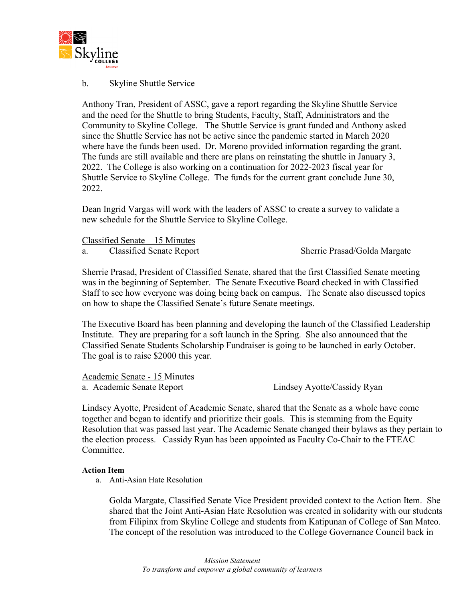

### b. Skyline Shuttle Service

Anthony Tran, President of ASSC, gave a report regarding the Skyline Shuttle Service and the need for the Shuttle to bring Students, Faculty, Staff, Administrators and the Community to Skyline College. The Shuttle Service is grant funded and Anthony asked since the Shuttle Service has not be active since the pandemic started in March 2020 where have the funds been used. Dr. Moreno provided information regarding the grant. The funds are still available and there are plans on reinstating the shuttle in January 3, 2022. The College is also working on a continuation for 2022-2023 fiscal year for Shuttle Service to Skyline College. The funds for the current grant conclude June 30, 2022.

Dean Ingrid Vargas will work with the leaders of ASSC to create a survey to validate a new schedule for the Shuttle Service to Skyline College.

Classified Senate – 15 Minutes

a. Classified Senate Report Sherrie Prasad/Golda Margate

Sherrie Prasad, President of Classified Senate, shared that the first Classified Senate meeting was in the beginning of September. The Senate Executive Board checked in with Classified Staff to see how everyone was doing being back on campus. The Senate also discussed topics on how to shape the Classified Senate's future Senate meetings.

The Executive Board has been planning and developing the launch of the Classified Leadership Institute. They are preparing for a soft launch in the Spring. She also announced that the Classified Senate Students Scholarship Fundraiser is going to be launched in early October. The goal is to raise \$2000 this year.

Academic Senate - 15 Minutes

a. Academic Senate Report Lindsey Ayotte/Cassidy Ryan

Lindsey Ayotte, President of Academic Senate, shared that the Senate as a whole have come together and began to identify and prioritize their goals. This is stemming from the Equity Resolution that was passed last year. The Academic Senate changed their bylaws as they pertain to the election process. Cassidy Ryan has been appointed as Faculty Co-Chair to the FTEAC Committee.

#### **Action Item**

a. Anti-Asian Hate Resolution

Golda Margate, Classified Senate Vice President provided context to the Action Item. She shared that the Joint Anti-Asian Hate Resolution was created in solidarity with our students from Filipinx from Skyline College and students from Katipunan of College of San Mateo. The concept of the resolution was introduced to the College Governance Council back in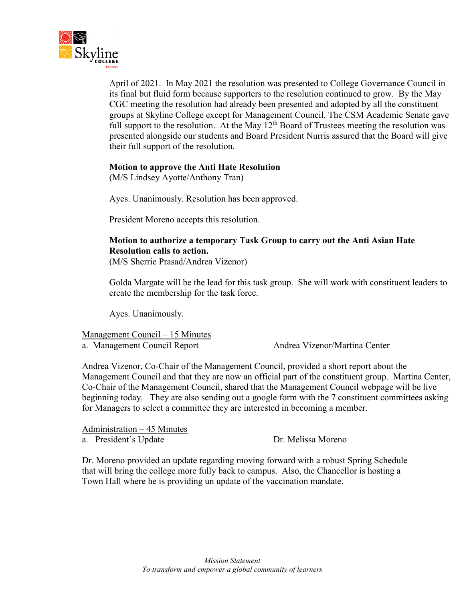

April of 2021. In May 2021 the resolution was presented to College Governance Council in its final but fluid form because supporters to the resolution continued to grow. By the May CGC meeting the resolution had already been presented and adopted by all the constituent groups at Skyline College except for Management Council. The CSM Academic Senate gave full support to the resolution. At the May  $12^{th}$  Board of Trustees meeting the resolution was presented alongside our students and Board President Nurris assured that the Board will give their full support of the resolution.

#### **Motion to approve the Anti Hate Resolution**

(M/S Lindsey Ayotte/Anthony Tran)

Ayes. Unanimously. Resolution has been approved.

President Moreno accepts this resolution.

# **Motion to authorize a temporary Task Group to carry out the Anti Asian Hate Resolution calls to action.**

(M/S Sherrie Prasad/Andrea Vizenor)

Golda Margate will be the lead for this task group. She will work with constituent leaders to create the membership for the task force.

Ayes. Unanimously.

Management Council – 15 Minutes

a. Management Council Report Andrea Vizenor/Martina Center

Andrea Vizenor, Co-Chair of the Management Council, provided a short report about the Management Council and that they are now an official part of the constituent group. Martina Center, Co-Chair of the Management Council, shared that the Management Council webpage will be live beginning today. They are also sending out a google form with the 7 constituent committees asking for Managers to select a committee they are interested in becoming a member.

Administration – 45 Minutes

a. President's Update Dr. Melissa Moreno

Dr. Moreno provided an update regarding moving forward with a robust Spring Schedule that will bring the college more fully back to campus. Also, the Chancellor is hosting a Town Hall where he is providing un update of the vaccination mandate.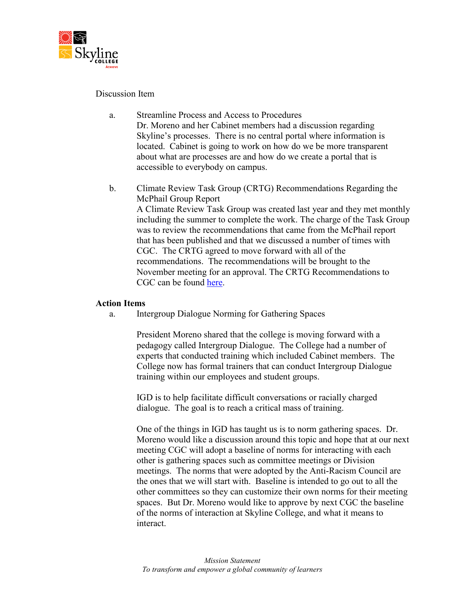

### Discussion Item

- a. Streamline Process and Access to Procedures Dr. Moreno and her Cabinet members had a discussion regarding Skyline's processes. There is no central portal where information is located. Cabinet is going to work on how do we be more transparent about what are processes are and how do we create a portal that is accessible to everybody on campus.
- b. Climate Review Task Group (CRTG) Recommendations Regarding the McPhail Group Report A Climate Review Task Group was created last year and they met monthly including the summer to complete the work. The charge of the Task Group was to review the recommendations that came from the McPhail report that has been published and that we discussed a number of times with CGC. The CRTG agreed to move forward with all of the recommendations. The recommendations will be brought to the November meeting for an approval. The CRTG Recommendations to CGC can be found [here.](https://www.skylinecollege.edu/collegegovernancecouncil/assets/documents/agendasminutes/2021_2022/CRTG%20Recommendations%20to%20CGC%20re%20McPhail%20Report%20Recs.pdf)

#### **Action Items**

a. Intergroup Dialogue Norming for Gathering Spaces

President Moreno shared that the college is moving forward with a pedagogy called Intergroup Dialogue. The College had a number of experts that conducted training which included Cabinet members. The College now has formal trainers that can conduct Intergroup Dialogue training within our employees and student groups.

IGD is to help facilitate difficult conversations or racially charged dialogue. The goal is to reach a critical mass of training.

One of the things in IGD has taught us is to norm gathering spaces. Dr. Moreno would like a discussion around this topic and hope that at our next meeting CGC will adopt a baseline of norms for interacting with each other is gathering spaces such as committee meetings or Division meetings. The norms that were adopted by the Anti-Racism Council are the ones that we will start with. Baseline is intended to go out to all the other committees so they can customize their own norms for their meeting spaces. But Dr. Moreno would like to approve by next CGC the baseline of the norms of interaction at Skyline College, and what it means to interact.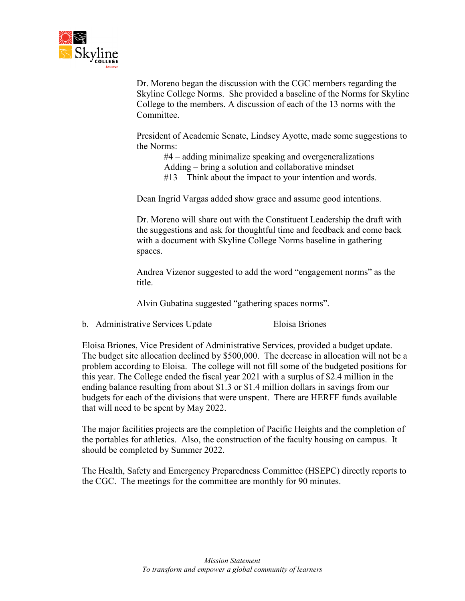

Dr. Moreno began the discussion with the CGC members regarding the Skyline College Norms. She provided a baseline of the Norms for Skyline College to the members. A discussion of each of the 13 norms with the **Committee** 

President of Academic Senate, Lindsey Ayotte, made some suggestions to the Norms:

#4 – adding minimalize speaking and overgeneralizations Adding – bring a solution and collaborative mindset #13 – Think about the impact to your intention and words.

Dean Ingrid Vargas added show grace and assume good intentions.

Dr. Moreno will share out with the Constituent Leadership the draft with the suggestions and ask for thoughtful time and feedback and come back with a document with Skyline College Norms baseline in gathering spaces.

Andrea Vizenor suggested to add the word "engagement norms" as the title.

Alvin Gubatina suggested "gathering spaces norms".

b. Administrative Services Update Eloisa Briones

Eloisa Briones, Vice President of Administrative Services, provided a budget update. The budget site allocation declined by \$500,000. The decrease in allocation will not be a problem according to Eloisa. The college will not fill some of the budgeted positions for this year. The College ended the fiscal year 2021 with a surplus of \$2.4 million in the ending balance resulting from about \$1.3 or \$1.4 million dollars in savings from our budgets for each of the divisions that were unspent. There are HERFF funds available that will need to be spent by May 2022.

The major facilities projects are the completion of Pacific Heights and the completion of the portables for athletics. Also, the construction of the faculty housing on campus. It should be completed by Summer 2022.

The Health, Safety and Emergency Preparedness Committee (HSEPC) directly reports to the CGC. The meetings for the committee are monthly for 90 minutes.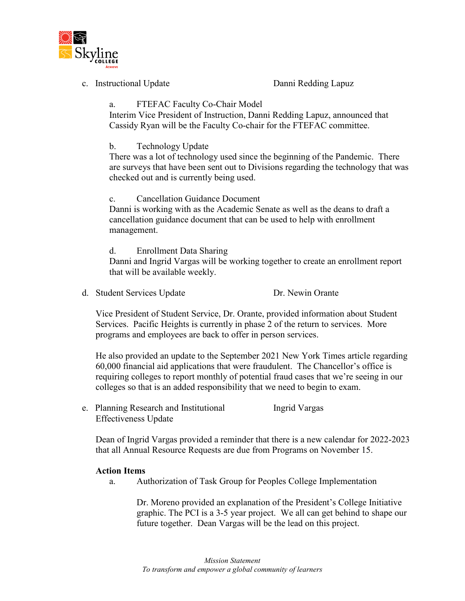

c. Instructional Update Danni Redding Lapuz

## a. FTEFAC Faculty Co-Chair Model

Interim Vice President of Instruction, Danni Redding Lapuz, announced that Cassidy Ryan will be the Faculty Co-chair for the FTEFAC committee.

### b. Technology Update

There was a lot of technology used since the beginning of the Pandemic. There are surveys that have been sent out to Divisions regarding the technology that was checked out and is currently being used.

c. Cancellation Guidance Document

Danni is working with as the Academic Senate as well as the deans to draft a cancellation guidance document that can be used to help with enrollment management.

#### d. Enrollment Data Sharing

Danni and Ingrid Vargas will be working together to create an enrollment report that will be available weekly.

d. Student Services Update Dr. Newin Orante

Vice President of Student Service, Dr. Orante, provided information about Student Services. Pacific Heights is currently in phase 2 of the return to services. More programs and employees are back to offer in person services.

He also provided an update to the September 2021 New York Times article regarding 60,000 financial aid applications that were fraudulent. The Chancellor's office is requiring colleges to report monthly of potential fraud cases that we're seeing in our colleges so that is an added responsibility that we need to begin to exam.

e. Planning Research and Institutional Ingrid Vargas Effectiveness Update

Dean of Ingrid Vargas provided a reminder that there is a new calendar for 2022-2023 that all Annual Resource Requests are due from Programs on November 15.

#### **Action Items**

a. Authorization of Task Group for Peoples College Implementation

Dr. Moreno provided an explanation of the President's College Initiative graphic. The PCI is a 3-5 year project. We all can get behind to shape our future together. Dean Vargas will be the lead on this project.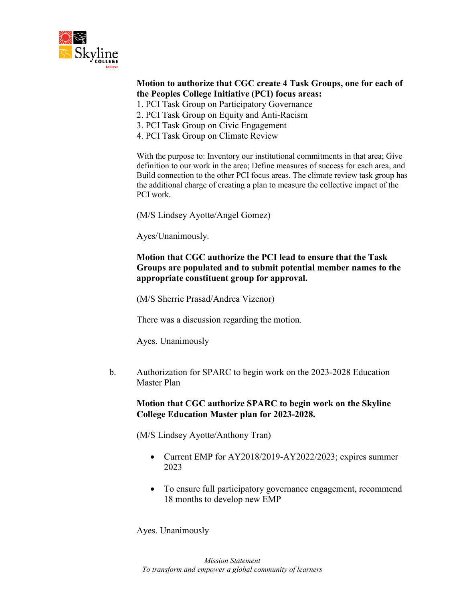

### **Motion to authorize that CGC create 4 Task Groups, one for each of the Peoples College Initiative (PCI) focus areas:**

- 1. PCI Task Group on Participatory Governance
- 2. PCI Task Group on Equity and Anti-Racism
- 3. PCI Task Group on Civic Engagement
- 4. PCI Task Group on Climate Review

With the purpose to: Inventory our institutional commitments in that area; Give definition to our work in the area; Define measures of success for each area, and Build connection to the other PCI focus areas. The climate review task group has the additional charge of creating a plan to measure the collective impact of the PCI work.

(M/S Lindsey Ayotte/Angel Gomez)

Ayes/Unanimously.

### **Motion that CGC authorize the PCI lead to ensure that the Task Groups are populated and to submit potential member names to the appropriate constituent group for approval.**

(M/S Sherrie Prasad/Andrea Vizenor)

There was a discussion regarding the motion.

Ayes. Unanimously

b. Authorization for SPARC to begin work on the 2023-2028 Education Master Plan

### **Motion that CGC authorize SPARC to begin work on the Skyline College Education Master plan for 2023-2028.**

(M/S Lindsey Ayotte/Anthony Tran)

- Current EMP for AY2018/2019-AY2022/2023; expires summer 2023
- To ensure full participatory governance engagement, recommend 18 months to develop new EMP

Ayes. Unanimously